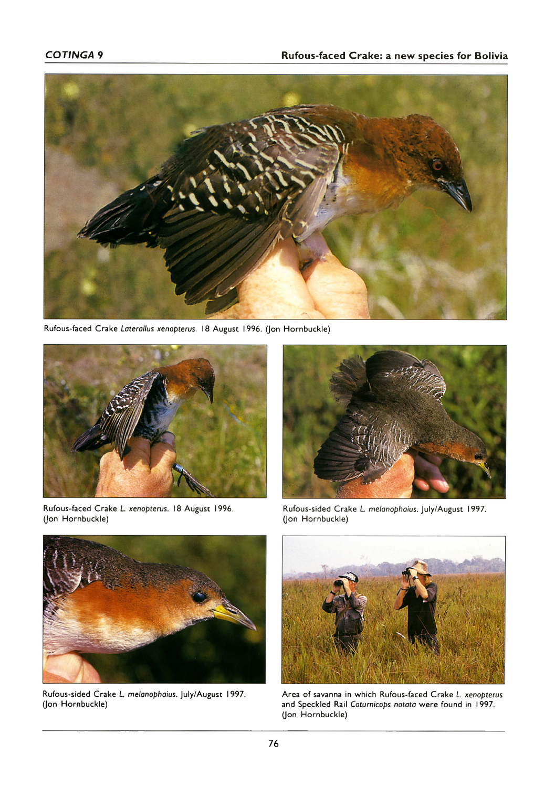

Rufous-faced Crake *Laterallus xenopterus.* 18 August 1996. (Jon Hornbuckle)



Rufous-faced Crake *L. xenopterus.* 18 August 1996. (Jon Hornbuckle)



Rufous-sided Crake *L. melanophaius.* July/August 1997. (Jon Hornbuckle)



Rufous-sided Crake *L. melanophaius.* July/August 1997. (Jon Hornbuckle)



Area of savanna in which Rufous-faced Crake *L. xenopterus* and Speckled Rail *Coturnicops notata* were found in 1997. (Jon Hornbuckle)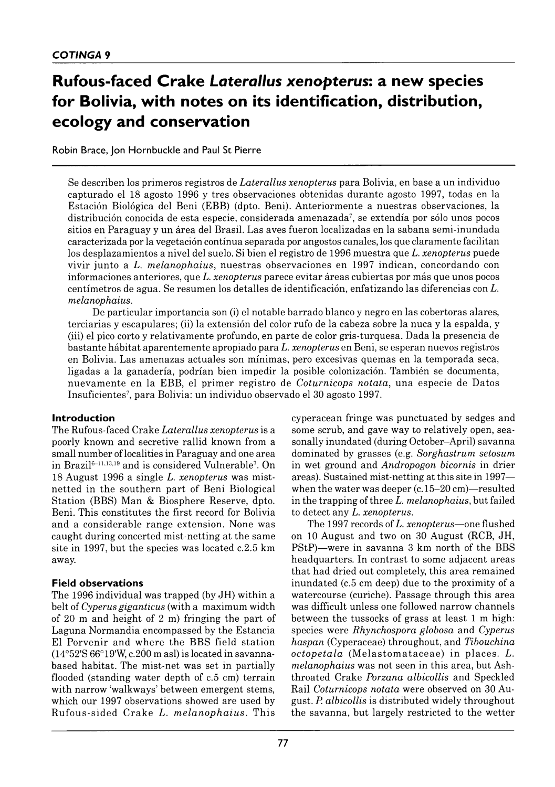# **Rufous-faced Crake** *Laterallus xenopterus:* **a new species for Bolivia, with notes on its identification, distribution, ecology and conservation**

Robin Brace, Jon Hornbuckle and Paul St Pierre

Se describen los primeros registros de *Laterallus xenopterus* para Bolivia, en base a un individuo capturado el 18 agosto 1996 y tres observaciones obtenidas durante agosto 1997, todas en la Estación Biológica del Beni (EBB) (dpto. Beni). Anteriormente a nuestras observaciones, la distribución conocida de esta especie, considerada amenazada<sup>7</sup>, se extendía por sólo unos pocos sitios en Paraguay y un área del Brasil. Las aves fueron localizadas en la sabana semi-inundada caracterizada por la vegetación contínua separada por angostos canales, los que claramente facilitan los desplazam ientos a nivel del suelo. Si bien el registro de 1996 m uestra que *L. xenopterus* puede vivir junto a L. melanophaius, nuestras observaciones en 1997 indican, concordando con informaciones anteriores, que *L. xenopterus* parece evitar áreas cubiertas por más que unos pocos centím etros de agua. Se resum en los detalles de identificación, enfatizando las diferencias con *L. melanophaius.*

De particular im portancia son (i) el notable barrado blanco y negro en las cobertoras alares, terciarias y escapulares; (ii) la extensión del color rufo de la cabeza sobre la nuca y la espalda, y (iii) el pico corto y relativamente profundo, en parte de color gris-turquesa. Dada la presencia de bastante hábitat aparentem ente apropiado para *L. xenopterus* en Beni, se esperan nuevos registros en Bolivia. Las amenazas actuales son mínimas, pero excesivas quemas en la temporada seca, ligadas a la ganadería, podrían bien im pedir la posible colonización. También se documenta, nuevamente en la EBB, el primer registro de *Coturnicops notata*, una especie de Datos Insuficientes7, para Bolivia: un individuo observado el 30 agosto 1997.

### **Introduction**

The Rufous-faced C rake *Laterallus xenopterus* is a poorly known and secretive rallid known from a small number of localities in Paraguay and one area in Brazil6–11,13,19 and is considered Vulnerable7. On 18 A ugust 1996 a single *L. xenopterus* was mistnetted in the southern part of Beni Biological Station (BBS) Man & Biosphere Reserve, dpto. Beni. This constitutes the first record for Bolivia and a considerable range extension. None was caught during concerted mist-netting at the same site in 1997, but the species was located  $c.2.5$  km away.

## **Field observations**

The 1996 individual was trapped (by JH) within a belt of *Cyperus giganticus* (with a maximum width of 20 m and height of 2 m) fringing the part of Laguna Normandia encompassed by the Estancia El Porvenir and where the BBS field station  $(14°52'S 66°19'W, c. 200 m as!)$  is located in savannabased habitat. The mist-net was set in partially flooded (standing water depth of c.5 cm) terrain with narrow 'walkways' between emergent stems, which our 1997 observations showed are used by Rufous-sided Crake *L. melanophaius*. This cyperacean fringe was punctuated by sedges and some scrub, and gave way to relatively open, seasonally inundated (during October–April) savanna dom inated by grasses (e.g. *Sorghastrum setosum* in wet ground and *Andropogon bicornis* in drier areas). Sustained mist-netting at this site in 1997 when the water was deeper  $(c.15-20 \text{ cm})$ -resulted in the trapping of three *L. melanophaius,* but failed to detect any *L. xenopterus.*

The 1997 records of *L. xenopterus* - one flushed on 10 August and two on 30 August (RCB, JH, PStP)-were in savanna 3 km north of the BBS headquarters. In contrast to some adjacent areas that had dried out completely, this area remained inundated (c.5 cm deep) due to the proximity of a watercourse (curiche). Passage through this area was difficult unless one followed narrow channels between the tussocks of grass at least 1 m high: species were *Rhynchospora globosa* and *Cyperus haspan* (Cyperaceae) throughout, and *Tibouchina octopetala* (Melastomataceae) in places. L. *melanophaius* was not seen in this area, but Ashthroated Crake *Porzana albicollis* and Speckled Rail *Coturnicops notata* were observed on 30 August. *P. albicollis* is distributed widely throughout the savanna, but largely restricted to the wetter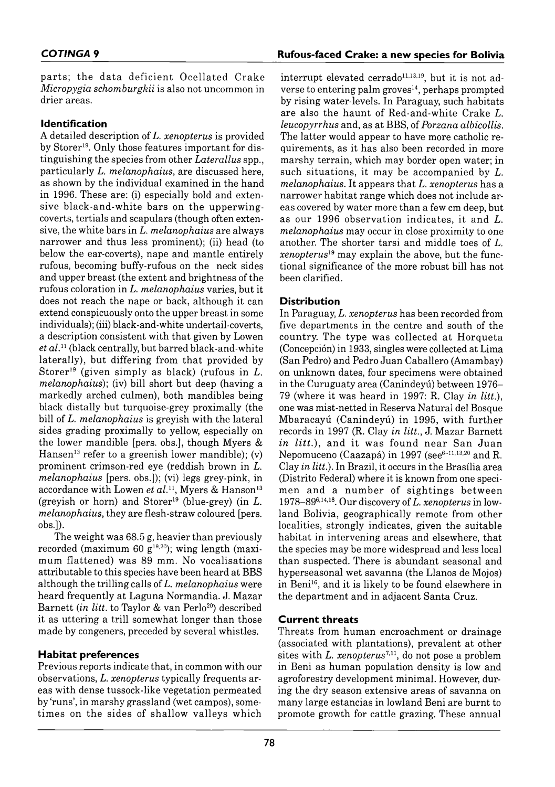parts; the data deficient Ocellated Crake *Micropygia schomburgkii* is also not uncommon in drier areas.

## **Identification**

A detailed description of *L. xenopterus* is provided by Storer<sup>19</sup>. Only those features important for distinguishing the species from other *Laterallus* spp., particularly *L. melanophaius,* are discussed here, as shown by the individual examined in the hand in 1996. These are: (i) especially bold and extensive black-and-white bars on the upperwingcoverts, tertials and scapulars (though often extensive, the w hite bars in *L. melanophaius* are always narrower and thus less prominent); (ii) head (to below the ear-coverts), nape and mantle entirely rufous, becoming buffy-rufous on the neck sides and upper breast (the extent and brightness of the rufous coloration in *L. melanophaius* varies, but it does not reach the nape or back, although it can extend conspicuously onto the upper breast in some individuals); (iii) black-and-white undertail-coverts, a description consistent with that given by Lowen et al.<sup>11</sup> (black centrally, but barred black-and-white laterally), but differing from that provided by Storer<sup>19</sup> (given simply as black) (rufous in  $L$ . *melanophaius*); (iv) bill short but deep (having a markedly arched culmen), both mandibles being black distally but turquoise-grey proximally (the bill of *L. melanophaius* is greyish with the lateral sides grading proximally to yellow, especially on the lower mandible [pers. obs.], though Myers  $\&$ Hansen<sup>13</sup> refer to a greenish lower mandible); (v) prominent crimson-red eye (reddish brown in L. *m elanophaius* [pers. obs.]); (vi) legs grey-pink, in accordance with Lowen et al.<sup>11</sup>, Myers & Hanson<sup>13</sup> (greyish or horn) and  $Storer^{19}$  (blue-grey) (in  $L$ . *melanophaius,* they are flesh-straw coloured [pers. obs.]).

The weight was 68.5 g, heavier than previously recorded (maximum 60  $g^{19,20}$ ); wing length (maximum flattened) was 89 mm. No vocalisations attributable to this species have been heard at BBS although the trilling calls of *L. melanophaius* were heard frequently at Laguna Normandia. J. Mazar Barnett *(in litt.* to Taylor & van Perlo<sup>20</sup>) described it as uttering a trill somewhat longer than those m ade by congeners, preceded by several whistles.

## **Habitat preferences**

Previous reports indicate that, in common with our observations, *L. xenopterus* typically frequents areas with dense tussock-like vegetation permeated by 'runs', in marshy grassland (wet campos), sometimes on the sides of shallow valleys which interrupt elevated cerrado<sup>11,13,19</sup>, but it is not adverse to entering palm groves $14$ , perhaps prompted by rising water-levels. In Paraguay, such habitats are also the haunt of Red-and-white Crake *L*. *leucopyrrhus* and, as at BBS, of *Porzana albicollis.* The latter would appear to have more catholic requirem ents, as it has also been recorded in more marshy terrain, which may border open water; in such situations, it may be accompanied by *L*. *melanophaius.* It appears that *L. xenopterus* has a narrower habitat range which does not include areas covered by water more than a few cm deep, but as our 1996 observation indicates, it and *L*. *melanophaius* may occur in close proximity to one another. The shorter tarsi and middle toes of *L*. *xenopterus*<sup>19</sup> may explain the above, but the functional significance of the more robust bill has not been clarified.

## **Distribution**

In Paraguay, *L. xenopterus* has been recorded from five departments in the centre and south of the country. The type was collected at Horqueta (Concepción) in 1933, singles were collected at Lima (San Pedro) and Pedro Juan Caballero (Amambay) on unknown dates, four specimens were obtained in the Curuguaty area (Canindeyú) between 1976– 79 (where it was heard in 1997: R. Clay *in litt),* one was mist-netted in Reserva Natural del Bosque Mbaracayú (Canindeyú) in 1995, with further records in 1997 (R. Clay *in litt.*, J. Mazar Barnett *in litt.*), and it was found near San Juan Nepomuceno (Caazapá) in 1997 (see $^{6-11,13,20}$  and R. Clay *in litt.*). In Brazil, it occurs in the Brasília area (Distrito Federal) where it is known from one specimen and a number of sightings between 1978–896,14,18. Our discovery of *L. xenopterus* in lowland Bolivia, geographically remote from other localities, strongly indicates, given the suitable habitat in intervening areas and elsewhere, that the species may be more w idespread and less local than suspected. There is abundant seasonal and hyperseasonal wet savanna (the Llanos de Mojos) in Beni<sup>16</sup>, and it is likely to be found elsewhere in the department and in adjacent Santa Cruz.

## **Current threats**

Threats from human encroachment or drainage (associated with plantations), prevalent at other sites with  $L.$  xenopterus<sup>7,11</sup>, do not pose a problem in Beni as human population density is low and agroforestry development minimal. However, during the dry season extensive areas of savanna on many large estancias in lowland Beni are burnt to prom ote growth for cattle grazing. These annual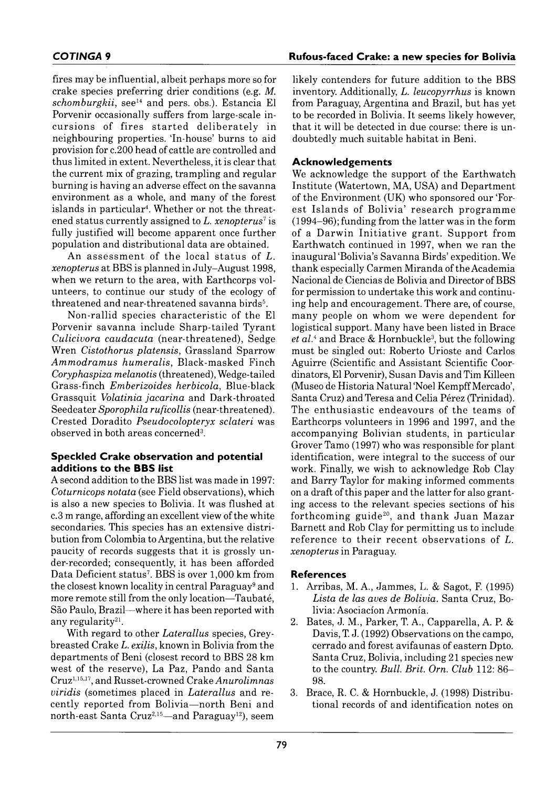fires may be influential, albeit perhaps more so for crake species preferring drier conditions (e.g. *M. schomburgkii*, see<sup>14</sup> and pers. obs.). Estancia El Porvenir occasionally suffers from large-scale in cursions of fires started deliberately in neighbouring properties. 'In-house' burns to aid provision for c. 200 head of cattle are controlled and thus limited in extent. Nevertheless, it is clear that the current mix of grazing, trampling and regular burning is having an adverse effect on the savanna environment as a whole, and many of the forest islands in particular<sup>4</sup>. Whether or not the threatened status currently assigned to *L. xenopterus*<sup>7</sup> is fully justified will become apparent once further population and distributional data are obtained.

An assessment of the local status of L. *xenopterus* at BBS is planned in July-August 1998. when we return to the area, with Earthcorps volunteers, to continue our study of the ecology of threatened and near-threatened savanna birds<sup>5</sup>.

Non-rallid species characteristic of the El Porvenir savanna include Sharp-tailed Tyrant *Culicivora caudacuta* (near-threatened), Sedge Wren *Cistothorus platensis*, Grassland Sparrow *A m m o d ra m u s h u m era lis*, B lack-m asked Finch *Coryphaspiza melanotis* (threatened), Wedge-tailed G rass-Finch *Em berizoides herbicola*, Blue-black Grassquit *Volatinia jacarina* and Dark-throated Seedeater *Sporophila ruficollis* (near-threatened). Crested Doradito *Pseudocolopteryx sclateri* was observed in both areas concerned3.

### **Speckled Crake observation and potential additions to the BBS list**

A second addition to the BBS list was made in 1997: *Coturnicops notata* (see Field observations), which is also a new species to Bolivia. It was flushed at c. 3 m range, affording an excellent view of the white secondaries. This species has an extensive distribution from Colombia to Argentina, but the relative paucity of records suggests that it is grossly under-recorded; consequently, it has been afforded Data Deficient status<sup>7</sup>. BBS is over 1,000 km from the closest known locality in central Paraguay<sup>9</sup> and more remote still from the only location—Taubaté, São Paulo, Brazil—where it has been reported with any regularity<sup>21</sup>.

With regard to other *Laterallus* species, Greybreasted Crake *L. exilis,* known in Bolivia from the departments of Beni (closest record to BBS 28 km west of the reserve), La Paz, Pando and Santa Cruz1,15,17, and Russet-crowned Crake *Anurolim nas viridis* (sometimes placed in *Laterallus* and re cently reported from Bolivia-north Beni and north-east Santa Cruz<sup>2,15</sup>—and Paraguay<sup>12</sup>), seem

#### **COTINGA** 9 **Rufous-faced Crake: a new species for Bolivia**

likely contenders for future addition to the BBS inventory. Additionally, *L. leucopyrrhus* is known from Paraguay, Argentina and Brazil, but has yet to be recorded in Bolivia. It seems likely however, that it will be detected in due course: there is undoubtedly much suitable habitat in Beni.

### **Acknowledgements**

We acknowledge the support of the Earthwatch Institute (Watertown, MA, USA) and Department of the Environment (UK) who sponsored our 'Forest Islands of Bolivia' research programme  $(1994-96)$ ; funding from the latter was in the form of a Darwin Initiative grant. Support from Earthwatch continued in 1997, when we ran the inaugural 'Bolivia's Savanna Birds' expedition. We thank especially Carmen Miranda of the Academia Nacional de Ciencias de Bolivia and Director of BBS for permission to undertake this work and continuing help and encouragement. There are, of course, many people on whom we were dependent for logistical support. Many have been listed in Brace et al.<sup>4</sup> and Brace & Hornbuckle<sup>3</sup>, but the following must be singled out: Roberto Urioste and Carlos Aguirre (Scientific and Assistant Scientific Coordinators, El Porvenir), Susan Davis and Tim Killeen (Museo de Historia Natural 'Noel Kempff Mercado', Santa Cruz) and Teresa and Celia Pérez (Trinidad). The enthusiastic endeavours of the teams of Earthcorps volunteers in 1996 and 1997, and the accompanying Bolivian students, in particular Grover Tamo (1997) who was responsible for plant identification, were integral to the success of our work. Finally, we wish to acknowledge Rob Clay and Barry Taylor for making informed comments on a draft of this paper and the latter for also granting access to the relevant species sections of his forthcoming guide<sup>20</sup>, and thank Juan Mazar Barnett and Rob Clay for permitting us to include reference to their recent observations of *L*. *xenopterus* in Paraguay.

#### **R e fe r e n c e s**

- 1. Arribas, M. A., Jammes, L. & Sagot, F. (1995) Lista de las aves de Bolivia. Santa Cruz, Bolivia: Asociación Armonía.
- 2. Bates, J. M., Parker, T. A., Capparella, A. P. & Davis, T. J. (1992) Observations on the campo, cerrado and forest avifaunas of eastern Dpto. Santa Cruz, Bolivia, including 21 species new to the country. *Bull. Brit. Orn. Club* 112: 86– 98.
- 3. Brace, R. C. & Hornbuckle, J. (1998) Distributional records of and identification notes on